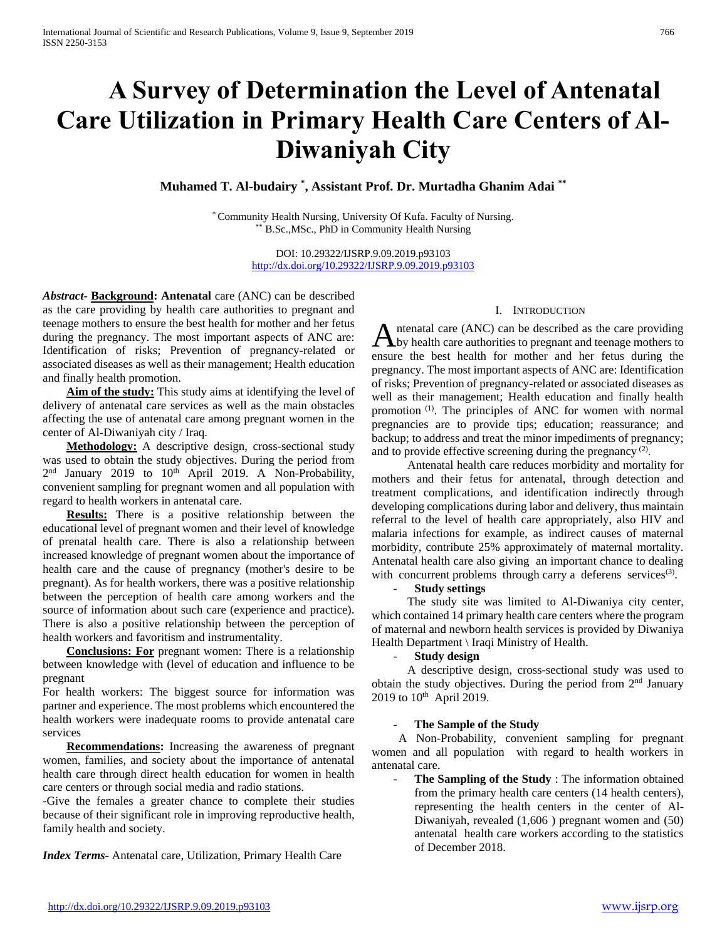# **A Survey of Determination the Level of Antenatal Care Utilization in Primary Health Care Centers of Al-Diwaniyah City**

**Muhamed T. Al-budairy \* , Assistant Prof. Dr. Murtadha Ghanim Adai \*\***

\* Community Health Nursing, University Of Kufa. Faculty of Nursing. \*\* B.Sc.,MSc., PhD in Community Health Nursing

> DOI: 10.29322/IJSRP.9.09.2019.p93103 <http://dx.doi.org/10.29322/IJSRP.9.09.2019.p93103>

*Abstract***- Background: Antenatal** care (ANC) can be described as the care providing by health care authorities to pregnant and teenage mothers to ensure the best health for mother and her fetus during the pregnancy. The most important aspects of ANC are: Identification of risks; Prevention of pregnancy-related or associated diseases as well as their management; Health education and finally health promotion.

 **Aim of the study:** This study aims at identifying the level of delivery of antenatal care services as well as the main obstacles affecting the use of antenatal care among pregnant women in the center of Al-Diwaniyah city / Iraq.

 **Methodology:** A descriptive design, cross-sectional study was used to obtain the study objectives. During the period from 2<sup>nd</sup> January 2019 to 10<sup>th</sup> April 2019. A Non-Probability, convenient sampling for pregnant women and all population with regard to health workers in antenatal care.

 **Results:** There is a positive relationship between the educational level of pregnant women and their level of knowledge of prenatal health care. There is also a relationship between increased knowledge of pregnant women about the importance of health care and the cause of pregnancy (mother's desire to be pregnant). As for health workers, there was a positive relationship between the perception of health care among workers and the source of information about such care (experience and practice). There is also a positive relationship between the perception of health workers and favoritism and instrumentality.

 **Conclusions: For** pregnant women: There is a relationship between knowledge with (level of education and influence to be pregnant

For health workers: The biggest source for information was partner and experience. The most problems which encountered the health workers were inadequate rooms to provide antenatal care services

 **Recommendations:** Increasing the awareness of pregnant women, families, and society about the importance of antenatal health care through direct health education for women in health care centers or through social media and radio stations.

-Give the females a greater chance to complete their studies because of their significant role in improving reproductive health, family health and society.

*Index Terms*- Antenatal care, Utilization, Primary Health Care

## I. INTRODUCTION

ntenatal care (ANC) can be described as the care providing Antenatal care (ANC) can be described as the care providing<br>by health care authorities to pregnant and teenage mothers to ensure the best health for mother and her fetus during the pregnancy. The most important aspects of ANC are: Identification of risks; Prevention of pregnancy-related or associated diseases as well as their management; Health education and finally health promotion (1). The principles of ANC for women with normal pregnancies are to provide tips; education; reassurance; and backup; to address and treat the minor impediments of pregnancy; and to provide effective screening during the pregnancy  $(2)$ .

 Antenatal health care reduces morbidity and mortality for mothers and their fetus for antenatal, through detection and treatment complications, and identification indirectly through developing complications during labor and delivery, thus maintain referral to the level of health care appropriately, also HIV and malaria infections for example, as indirect causes of maternal morbidity, contribute 25% approximately of maternal mortality. Antenatal health care also giving an important chance to dealing with concurrent problems through carry a deferens services<sup>(3)</sup>.

- **Study settings**

 The study site was limited to Al-Diwaniya city center, which contained 14 primary health care centers where the program of maternal and newborn health services is provided by Diwaniya Health Department \ Iraqi Ministry of Health.

## - **Study design**

 A descriptive design, cross-sectional study was used to obtain the study objectives. During the period from  $2<sup>nd</sup>$  January 2019 to  $10^{th}$  April 2019.

## **The Sample of the Study**

 A Non-Probability, convenient sampling for pregnant women and all population with regard to health workers in antenatal care.

**The Sampling of the Study** : The information obtained from the primary health care centers (14 health centers), representing the health centers in the center of Al-Diwaniyah, revealed (1,606 ) pregnant women and (50) antenatal health care workers according to the statistics of December 2018.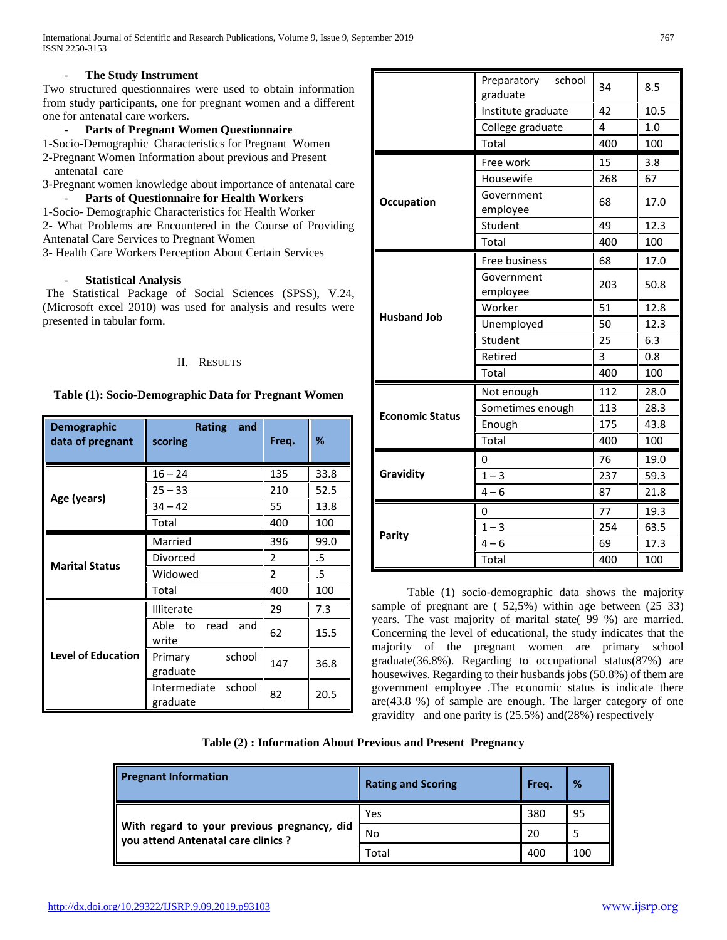International Journal of Scientific and Research Publications, Volume 9, Issue 9, September 2019 767 ISSN 2250-3153

## **The Study Instrument**

Two structured questionnaires were used to obtain information from study participants, one for pregnant women and a different one for antenatal care workers.

# - **Parts of Pregnant Women Questionnaire**

1-Socio-Demographic Characteristics for Pregnant Women 2-Pregnant Women Information about previous and Present antenatal care

3-Pregnant women knowledge about importance of antenatal care Parts of Questionnaire for Health Workers

1-Socio- Demographic Characteristics for Health Worker

2- What Problems are Encountered in the Course of Providing

Antenatal Care Services to Pregnant Women

3- Health Care Workers Perception About Certain Services

# - **Statistical Analysis**

The Statistical Package of Social Sciences (SPSS), V.24, (Microsoft excel 2010) was used for analysis and results were presented in tabular form.

# II. RESULTS

# **Table (1): Socio-Demographic Data for Pregnant Women**

| <b>Demographic</b><br>data of pregnant | <b>Rating</b><br>and<br>scoring | Freq.         | ℅    |
|----------------------------------------|---------------------------------|---------------|------|
|                                        | $16 - 24$                       | 135           | 33.8 |
|                                        | $25 - 33$                       | 210           | 52.5 |
| Age (years)                            | $34 - 42$                       | 55            | 13.8 |
|                                        | Total                           | 400           | 100  |
|                                        | Married                         | 396           | 99.0 |
|                                        | Divorced                        | $\mathfrak z$ | .5   |
| <b>Marital Status</b>                  | Widowed                         | 2             | .5   |
|                                        | Total                           | 400           | 100  |
|                                        | Illiterate                      | 29            | 7.3  |
| <b>Level of Education</b>              | Able to<br>and<br>read<br>write | 62            | 15.5 |
|                                        | school<br>Primary<br>graduate   | 147           | 36.8 |
|                                        | Intermediate school<br>graduate | 82            | 20.5 |

|                        | Preparatory<br>school<br>graduate | 34  | 8.5  |
|------------------------|-----------------------------------|-----|------|
|                        | Institute graduate                | 42  | 10.5 |
|                        | College graduate                  | 4   | 1.0  |
|                        | Total                             | 400 | 100  |
|                        | Free work                         | 15  | 3.8  |
|                        | Housewife                         | 268 | 67   |
| Occupation             | Government<br>employee            | 68  | 17.0 |
|                        | Student                           | 49  | 12.3 |
|                        | Total                             | 400 | 100  |
|                        | Free business                     | 68  | 17.0 |
|                        | Government<br>employee            | 203 | 50.8 |
|                        | Worker                            | 51  | 12.8 |
| <b>Husband Job</b>     | Unemployed                        | 50  | 12.3 |
|                        | Student                           | 25  | 6.3  |
|                        | Retired                           | 3   | 0.8  |
|                        | Total                             | 400 | 100  |
|                        | Not enough                        | 112 | 28.0 |
| <b>Economic Status</b> | Sometimes enough                  | 113 | 28.3 |
|                        | Enough                            | 175 | 43.8 |
|                        | Total                             | 400 | 100  |
|                        | 0                                 | 76  | 19.0 |
| Gravidity              | $1 - 3$                           | 237 | 59.3 |
|                        | $4 - 6$                           | 87  | 21.8 |
| Parity                 | 0                                 | 77  | 19.3 |
|                        | $1 - 3$                           | 254 | 63.5 |
|                        | $4 - 6$                           | 69  | 17.3 |
|                        | Total                             | 400 | 100  |

 Table (1) socio-demographic data shows the majority sample of pregnant are ( 52,5%) within age between (25–33) years. The vast majority of marital state( 99 %) are married. Concerning the level of educational, the study indicates that the majority of the pregnant women are primary school graduate(36.8%). Regarding to occupational status(87%) are housewives. Regarding to their husbands jobs (50.8%) of them are government employee .The economic status is indicate there are $(43.8 \%)$  of sample are enough. The larger category of one gravidity and one parity is (25.5%) and(28%) respectively

**Table (2) : Information About Previous and Present Pregnancy**

| <b>Pregnant Information</b>                                                        | <b>Rating and Scoring</b> | Freq. | %   |
|------------------------------------------------------------------------------------|---------------------------|-------|-----|
|                                                                                    | Yes                       | 380   | 95  |
| With regard to your previous pregnancy, did<br>you attend Antenatal care clinics ? | No                        | 20    |     |
|                                                                                    | Total                     | 400   | 100 |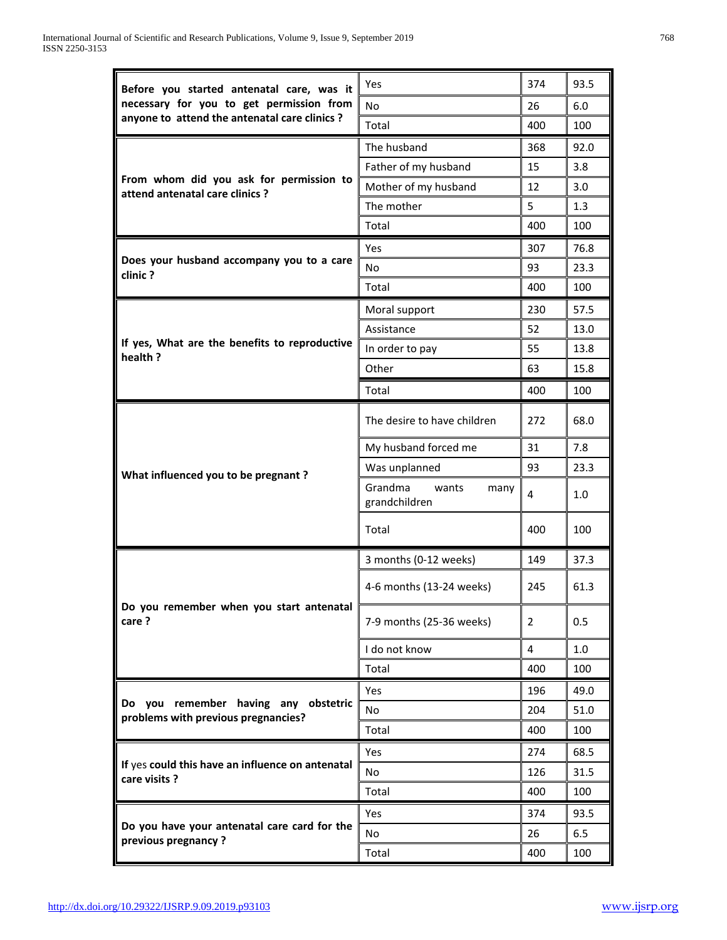| Before you started antenatal care, was it                                  | Yes                                       | 374 | 93.5 |
|----------------------------------------------------------------------------|-------------------------------------------|-----|------|
| necessary for you to get permission from                                   | No                                        | 26  | 6.0  |
| anyone to attend the antenatal care clinics ?                              | Total                                     | 400 | 100  |
|                                                                            | The husband                               | 368 | 92.0 |
|                                                                            | Father of my husband                      | 15  | 3.8  |
| From whom did you ask for permission to<br>attend antenatal care clinics ? | Mother of my husband                      | 12  | 3.0  |
|                                                                            | The mother                                | 5   | 1.3  |
|                                                                            | Total                                     | 400 | 100  |
|                                                                            | Yes                                       | 307 | 76.8 |
| Does your husband accompany you to a care<br>clinic?                       | No                                        | 93  | 23.3 |
|                                                                            | Total                                     | 400 | 100  |
|                                                                            | Moral support                             | 230 | 57.5 |
|                                                                            | Assistance                                | 52  | 13.0 |
| If yes, What are the benefits to reproductive                              | In order to pay                           | 55  | 13.8 |
| health ?                                                                   | Other                                     | 63  | 15.8 |
|                                                                            | Total                                     | 400 | 100  |
|                                                                            |                                           |     |      |
|                                                                            | The desire to have children               | 272 | 68.0 |
|                                                                            | My husband forced me                      | 31  | 7.8  |
| What influenced you to be pregnant?                                        | Was unplanned                             | 93  | 23.3 |
|                                                                            | Grandma<br>wants<br>many<br>grandchildren | 4   | 1.0  |
|                                                                            | Total                                     | 400 | 100  |
|                                                                            | 3 months (0-12 weeks)                     | 149 | 37.3 |
|                                                                            | 4-6 months (13-24 weeks)                  | 245 | 61.3 |
| Do you remember when you start antenatal<br>care ?                         | 7-9 months (25-36 weeks)                  | 2   | 0.5  |
|                                                                            | I do not know                             | 4   | 1.0  |
|                                                                            | Total                                     | 400 | 100  |
|                                                                            | Yes                                       | 196 | 49.0 |
| Do you remember having any obstetric                                       | No                                        | 204 | 51.0 |
| problems with previous pregnancies?                                        | Total                                     | 400 | 100  |
|                                                                            | <b>Yes</b>                                | 274 | 68.5 |
| If yes could this have an influence on antenatal                           | No                                        | 126 | 31.5 |
| care visits ?                                                              | Total                                     | 400 | 100  |
|                                                                            | Yes                                       | 374 | 93.5 |
| Do you have your antenatal care card for the                               | No                                        | 26  | 6.5  |
| previous pregnancy?                                                        | Total                                     | 400 | 100  |
|                                                                            |                                           |     |      |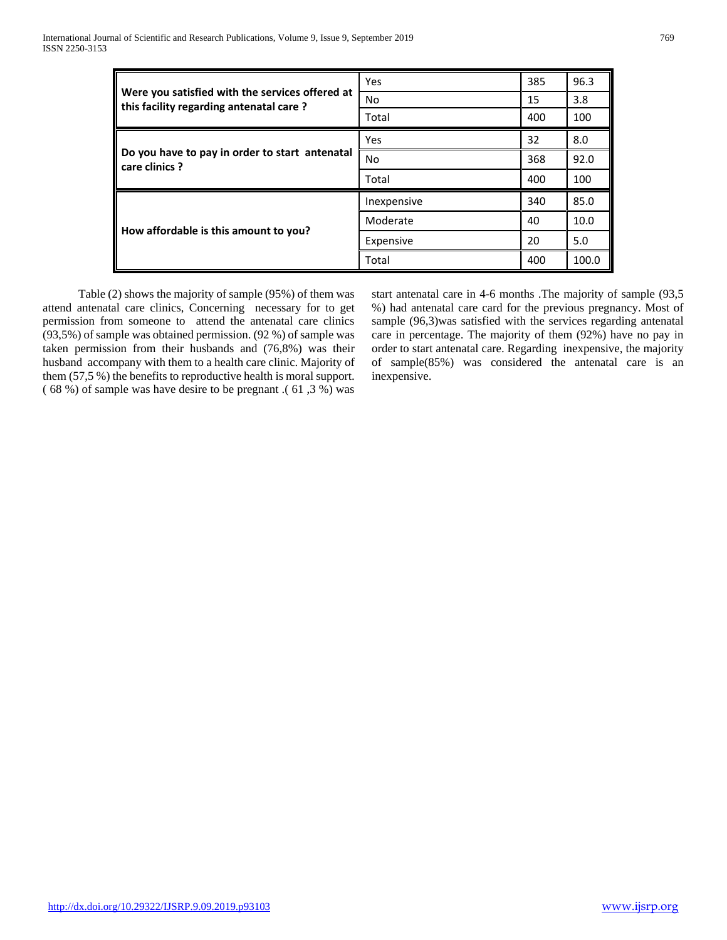|                                                                                            | Yes         | 385 | 96.3  |
|--------------------------------------------------------------------------------------------|-------------|-----|-------|
| Were you satisfied with the services offered at<br>this facility regarding antenatal care? | No          | 15  | 3.8   |
|                                                                                            | Total       | 400 | 100   |
|                                                                                            | Yes         | 32  | 8.0   |
| Do you have to pay in order to start antenatal<br>care clinics ?                           | No          | 368 | 92.0  |
|                                                                                            | Total       | 400 | 100   |
|                                                                                            | Inexpensive | 340 | 85.0  |
| How affordable is this amount to you?                                                      | Moderate    | 40  | 10.0  |
|                                                                                            | Expensive   | 20  | 5.0   |
|                                                                                            | Total       | 400 | 100.0 |

 Table (2) shows the majority of sample (95%) of them was attend antenatal care clinics, Concerning necessary for to get permission from someone to attend the antenatal care clinics (93,5%) of sample was obtained permission. (92 %) of sample was taken permission from their husbands and (76,8%) was their husband accompany with them to a health care clinic. Majority of them (57,5 %) the benefits to reproductive health is moral support. ( 68 %) of sample was have desire to be pregnant .( 61 ,3 %) was

start antenatal care in 4-6 months .The majority of sample (93,5 %) had antenatal care card for the previous pregnancy. Most of sample (96,3)was satisfied with the services regarding antenatal care in percentage. The majority of them (92%) have no pay in order to start antenatal care. Regarding inexpensive, the majority of sample(85%) was considered the antenatal care is an inexpensive.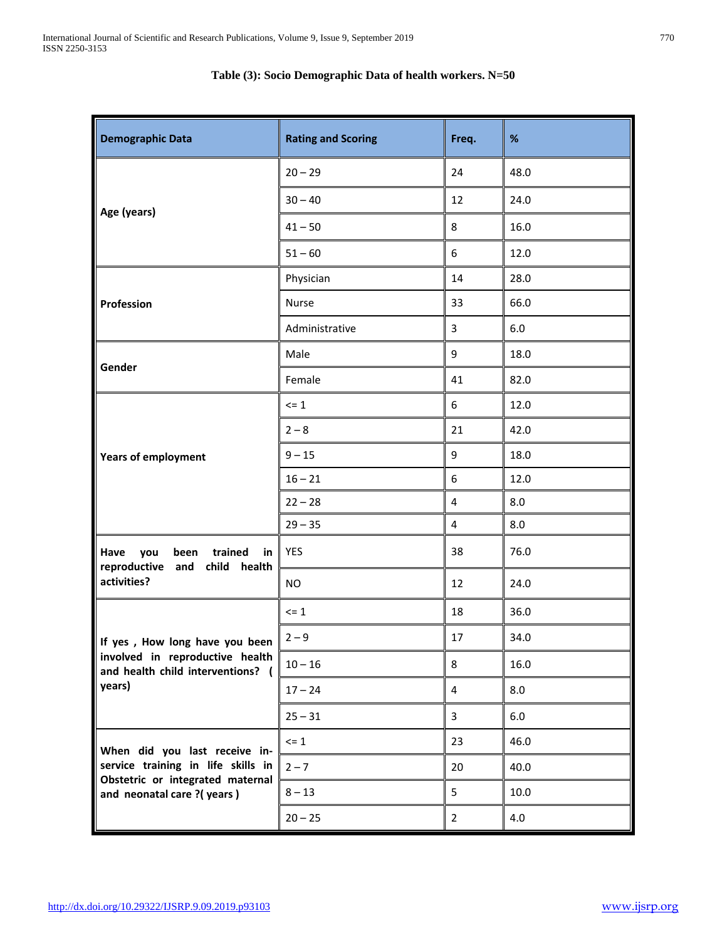| <b>Demographic Data</b>                                                                 | <b>Rating and Scoring</b> | Freq.          | $\%$    |
|-----------------------------------------------------------------------------------------|---------------------------|----------------|---------|
|                                                                                         | $20 - 29$                 | 24             | 48.0    |
|                                                                                         | $30 - 40$                 | 12             | 24.0    |
| Age (years)                                                                             | $41 - 50$                 | 8              | 16.0    |
|                                                                                         | $51 - 60$                 | 6              | 12.0    |
|                                                                                         | Physician                 | 14             | 28.0    |
| Profession                                                                              | Nurse                     | 33             | 66.0    |
|                                                                                         | Administrative            | 3              | $6.0\,$ |
|                                                                                         | Male                      | 9              | 18.0    |
| Gender                                                                                  | Female                    | 41             | 82.0    |
|                                                                                         | $\leq$ 1                  | 6              | 12.0    |
|                                                                                         | $2 - 8$                   | 21             | 42.0    |
| <b>Years of employment</b>                                                              | $9 - 15$                  | 9              | 18.0    |
|                                                                                         | $16 - 21$                 | 6              | 12.0    |
|                                                                                         | $22 - 28$                 | 4              | 8.0     |
|                                                                                         | $29 - 35$                 | $\overline{4}$ | 8.0     |
| Have<br>you<br>been<br>trained<br>in<br>reproductive and<br>child health<br>activities? | <b>YES</b>                | 38             | 76.0    |
|                                                                                         | <b>NO</b>                 | 12             | 24.0    |
|                                                                                         | $\leq$ 1                  | 18             | 36.0    |
| If yes, How long have you been                                                          | $2 - 9$                   | 17             | 34.0    |
| involved in reproductive health<br>and health child interventions? (                    | $10 - 16$                 | 8              | 16.0    |
| years)                                                                                  | $17 - 24$                 | 4              | 8.0     |
|                                                                                         | $25 - 31$                 | 3              | 6.0     |
| When did you last receive in-                                                           | $\leq 1$                  | 23             | 46.0    |
| service training in life skills in                                                      | $2 - 7$                   | 20             | 40.0    |
| Obstetric or integrated maternal<br>and neonatal care ?(years)                          | $8 - 13$                  | 5              | 10.0    |
|                                                                                         | $20 - 25$                 | $\overline{2}$ | 4.0     |

# **Table (3): Socio Demographic Data of health workers. N=50**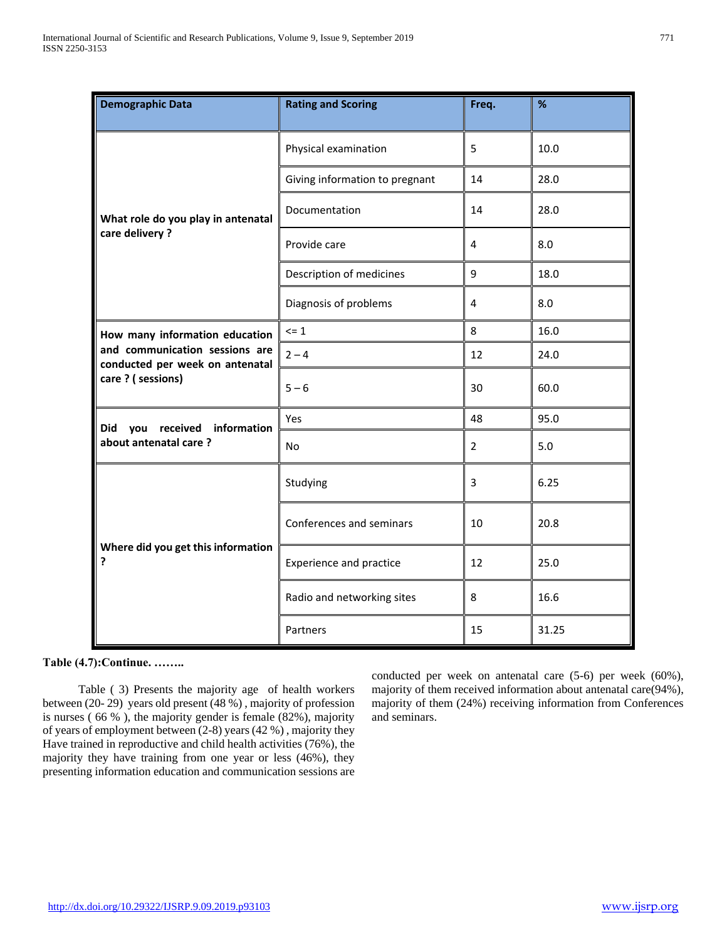| <b>Demographic Data</b>                                           | <b>Rating and Scoring</b>      | Freq.          | %     |
|-------------------------------------------------------------------|--------------------------------|----------------|-------|
|                                                                   | Physical examination           | 5              | 10.0  |
|                                                                   | Giving information to pregnant | 14             | 28.0  |
| What role do you play in antenatal                                | Documentation                  | 14             | 28.0  |
| care delivery?                                                    | Provide care                   | 4              | 8.0   |
|                                                                   | Description of medicines       | 9              | 18.0  |
|                                                                   | Diagnosis of problems          | 4              | 8.0   |
| How many information education                                    | $\Leftarrow$ 1                 | 8              | 16.0  |
| and communication sessions are<br>conducted per week on antenatal | $2 - 4$                        | 12             | 24.0  |
| care ? (sessions)                                                 | $5 - 6$                        | 30             | 60.0  |
| received information<br>Did<br>you                                | Yes                            | 48             | 95.0  |
| about antenatal care?                                             | <b>No</b>                      | $\overline{2}$ | 5.0   |
|                                                                   | Studying                       | 3              | 6.25  |
| Where did you get this information<br>?                           | Conferences and seminars       | 10             | 20.8  |
|                                                                   | <b>Experience and practice</b> | 12             | 25.0  |
|                                                                   | Radio and networking sites     | 8              | 16.6  |
|                                                                   | Partners                       | 15             | 31.25 |

# **Table (4.7):Continue. ……..**

 Table ( 3) Presents the majority age of health workers between (20- 29) years old present (48 %) , majority of profession is nurses ( 66 % ), the majority gender is female (82%), majority of years of employment between (2-8) years (42 %) , majority they Have trained in reproductive and child health activities (76%), the majority they have training from one year or less (46%), they presenting information education and communication sessions are conducted per week on antenatal care (5-6) per week (60%), majority of them received information about antenatal care(94%), majority of them (24%) receiving information from Conferences and seminars.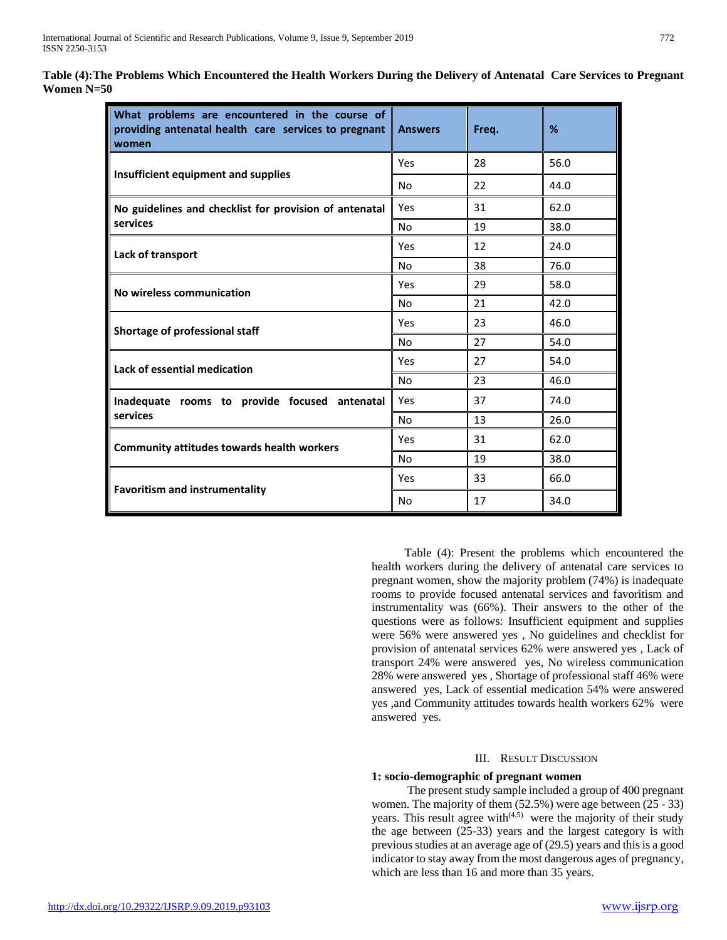| What problems are encountered in the course of<br>providing antenatal health care services to pregnant<br>women | <b>Answers</b> | Freq. | %    |
|-----------------------------------------------------------------------------------------------------------------|----------------|-------|------|
| <b>Insufficient equipment and supplies</b>                                                                      | Yes            | 28    | 56.0 |
|                                                                                                                 | No             | 22    | 44.0 |
| No guidelines and checklist for provision of antenatal                                                          | Yes            | 31    | 62.0 |
| services                                                                                                        | No.            | 19    | 38.0 |
| Lack of transport                                                                                               | Yes            | 12    | 24.0 |
|                                                                                                                 | No.            | 38    | 76.0 |
| No wireless communication                                                                                       | Yes            | 29    | 58.0 |
|                                                                                                                 | No.            | 21    | 42.0 |
| Shortage of professional staff                                                                                  | Yes            | 23    | 46.0 |
|                                                                                                                 | No             | 27    | 54.0 |
| Lack of essential medication                                                                                    | Yes            | 27    | 54.0 |
|                                                                                                                 | No             | 23    | 46.0 |
| Inadequate rooms to provide focused antenatal                                                                   | Yes            | 37    | 74.0 |
| services                                                                                                        | No.            | 13    | 26.0 |
| <b>Community attitudes towards health workers</b>                                                               | Yes            | 31    | 62.0 |
|                                                                                                                 | No             | 19    | 38.0 |
|                                                                                                                 | Yes            | 33    | 66.0 |
| <b>Favoritism and instrumentality</b>                                                                           | No             | 17    | 34.0 |

**Table (4):The Problems Which Encountered the Health Workers During the Delivery of Antenatal Care Services to Pregnant Women N=50**

> Table (4): Present the problems which encountered the health workers during the delivery of antenatal care services to pregnant women, show the majority problem (74%) is inadequate rooms to provide focused antenatal services and favoritism and instrumentality was (66%). Their answers to the other of the questions were as follows: Insufficient equipment and supplies were 56% were answered yes , No guidelines and checklist for provision of antenatal services 62% were answered yes , Lack of transport 24% were answered yes, No wireless communication 28% were answered yes , Shortage of professional staff 46% were answered yes, Lack of essential medication 54% were answered yes ,and Community attitudes towards health workers 62% were answered yes.

#### III. RESULT DISCUSSION

## **1: socio-demographic of pregnant women**

 The present study sample included a group of 400 pregnant women. The majority of them (52.5%) were age between (25 - 33) years. This result agree with $(4,5)$  were the majority of their study the age between (25-33) years and the largest category is with previous studies at an average age of (29.5) years and this is a good indicator to stay away from the most dangerous ages of pregnancy, which are less than 16 and more than 35 years.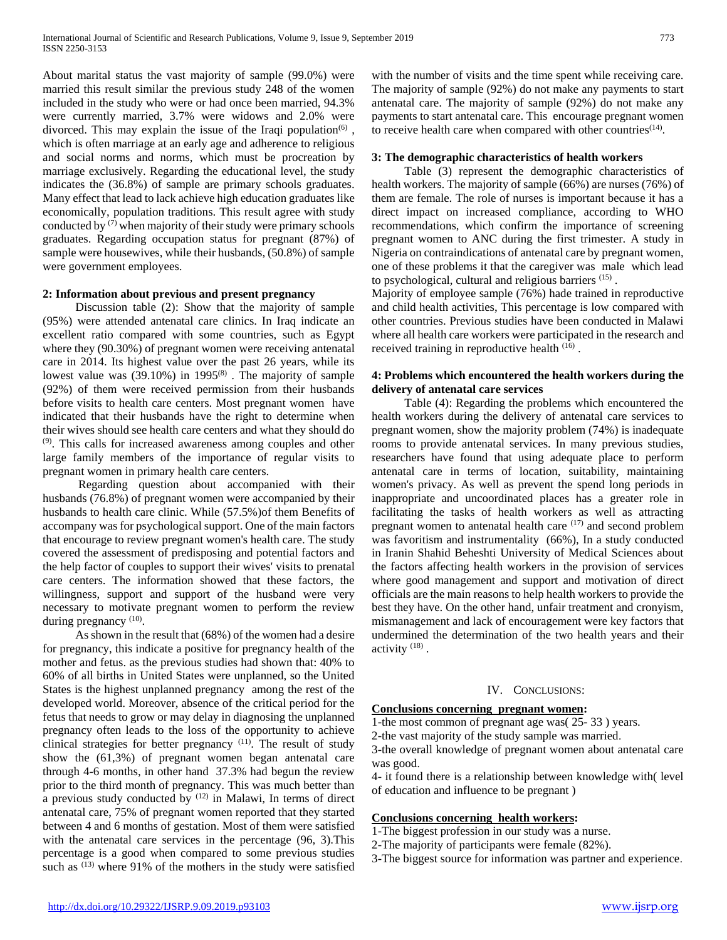About marital status the vast majority of sample (99.0%) were married this result similar the previous study 248 of the women included in the study who were or had once been married, 94.3% were currently married, 3.7% were widows and 2.0% were divorced. This may explain the issue of the Iraqi population<sup> $(6)$ </sup>, which is often marriage at an early age and adherence to religious and social norms and norms, which must be procreation by marriage exclusively. Regarding the educational level, the study indicates the (36.8%) of sample are primary schools graduates. Many effect that lead to lack achieve high education graduates like economically, population traditions. This result agree with study conducted by  $(7)$  when majority of their study were primary schools graduates. Regarding occupation status for pregnant (87%) of sample were housewives, while their husbands, (50.8%) of sample were government employees.

## **2: Information about previous and present pregnancy**

 Discussion table (2): Show that the majority of sample (95%) were attended antenatal care clinics. In Iraq indicate an excellent ratio compared with some countries, such as Egypt where they (90.30%) of pregnant women were receiving antenatal care in 2014. Its highest value over the past 26 years, while its lowest value was  $(39.10\%)$  in  $1995^{(8)}$ . The majority of sample (92%) of them were received permission from their husbands before visits to health care centers. Most pregnant women have indicated that their husbands have the right to determine when their wives should see health care centers and what they should do (9). This calls for increased awareness among couples and other large family members of the importance of regular visits to pregnant women in primary health care centers.

 Regarding question about accompanied with their husbands (76.8%) of pregnant women were accompanied by their husbands to health care clinic. While (57.5%)of them Benefits of accompany was for psychological support. One of the main factors that encourage to review pregnant women's health care. The study covered the assessment of predisposing and potential factors and the help factor of couples to support their wives' visits to prenatal care centers. The information showed that these factors, the willingness, support and support of the husband were very necessary to motivate pregnant women to perform the review during pregnancy (10).

 As shown in the result that (68%) of the women had a desire for pregnancy, this indicate a positive for pregnancy health of the mother and fetus. as the previous studies had shown that: 40% to 60% of all births in United States were unplanned, so the United States is the highest unplanned pregnancy among the rest of the developed world. Moreover, absence of the critical period for the fetus that needs to grow or may delay in diagnosing the unplanned pregnancy often leads to the loss of the opportunity to achieve clinical strategies for better pregnancy (11). The result of study show the (61,3%) of pregnant women began antenatal care through 4-6 months, in other hand 37.3% had begun the review prior to the third month of pregnancy. This was much better than a previous study conducted by  $(12)$  in Malawi, In terms of direct antenatal care, 75% of pregnant women reported that they started between 4 and 6 months of gestation. Most of them were satisfied with the antenatal care services in the percentage (96, 3).This percentage is a good when compared to some previous studies such as  $(13)$  where 91% of the mothers in the study were satisfied

<http://dx.doi.org/10.29322/IJSRP.9.09.2019.p93103> [www.ijsrp.org](http://ijsrp.org/)

with the number of visits and the time spent while receiving care. The majority of sample (92%) do not make any payments to start antenatal care. The majority of sample (92%) do not make any payments to start antenatal care. This encourage pregnant women to receive health care when compared with other countries $<sup>(14)</sup>$ .</sup>

#### **3: The demographic characteristics of health workers**

 Table (3) represent the demographic characteristics of health workers. The majority of sample (66%) are nurses (76%) of them are female. The role of nurses is important because it has a direct impact on increased compliance, according to WHO recommendations, which confirm the importance of screening pregnant women to ANC during the first trimester. A study in Nigeria on contraindications of antenatal care by pregnant women, one of these problems it that the caregiver was male which lead to psychological, cultural and religious barriers (15).

Majority of employee sample (76%) hade trained in reproductive and child health activities, This percentage is low compared with other countries. Previous studies have been conducted in Malawi where all health care workers were participated in the research and received training in reproductive health  $(16)$ .

## **4: Problems which encountered the health workers during the delivery of antenatal care services**

 Table (4): Regarding the problems which encountered the health workers during the delivery of antenatal care services to pregnant women, show the majority problem (74%) is inadequate rooms to provide antenatal services. In many previous studies, researchers have found that using adequate place to perform antenatal care in terms of location, suitability, maintaining women's privacy. As well as prevent the spend long periods in inappropriate and uncoordinated places has a greater role in facilitating the tasks of health workers as well as attracting pregnant women to antenatal health care (17) and second problem was favoritism and instrumentality (66%), In a study conducted in Iranin Shahid Beheshti University of Medical Sciences about the factors affecting health workers in the provision of services where good management and support and motivation of direct officials are the main reasons to help health workers to provide the best they have. On the other hand, unfair treatment and cronyism, mismanagement and lack of encouragement were key factors that undermined the determination of the two health years and their activity<sup>(18)</sup>.

#### IV. CONCLUSIONS:

## **Conclusions concerning pregnant women:**

1-the most common of pregnant age was( 25- 33 ) years.

2-the vast majority of the study sample was married.

3-the overall knowledge of pregnant women about antenatal care was good.

4- it found there is a relationship between knowledge with( level of education and influence to be pregnant )

## **Conclusions concerning health workers:**

1-The biggest profession in our study was a nurse.

2-The majority of participants were female (82%).

3-The biggest source for information was partner and experience.